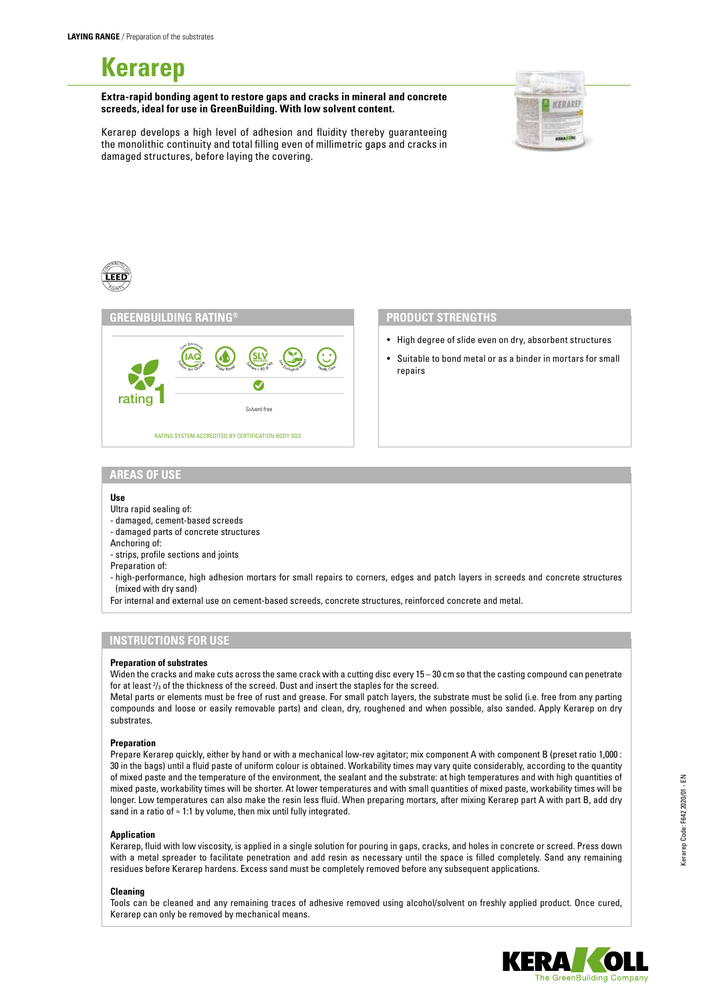# **Kerarep**

**Extra-rapid bonding agent to restore gaps and cracks in mineral and concrete screeds, ideal for use in GreenBuilding. With low solvent content.**



Kerarep develops a high level of adhesion and fluidity thereby guaranteeing the monolithic continuity and total filling even of millimetric gaps and cracks in damaged structures, before laying the covering.



## **PRODUCT STRENGTHS**

- High degree of slide even on dry, absorbent structures
- Suitable to bond metal or as a binder in mortars for small repairs

## **AREAS OF USE**

#### **Use**

CONTRIBUTES

Ultra rapid sealing of:

- damaged, cement-based screeds

- damaged parts of concrete structures

Anchoring of:

- strips, profile sections and joints

Preparation of:

- high-performance, high adhesion mortars for small repairs to corners, edges and patch layers in screeds and concrete structures (mixed with dry sand)

For internal and external use on cement-based screeds, concrete structures, reinforced concrete and metal.

# **INSTRUCTIONS FOR USE**

#### **Preparation of substrates**

Widen the cracks and make cuts across the same crack with a cutting disc every 15 – 30 cm so that the casting compound can penetrate for at least  $\frac{2}{3}$  of the thickness of the screed. Dust and insert the staples for the screed.

Metal parts or elements must be free of rust and grease. For small patch layers, the substrate must be solid (i.e. free from any parting compounds and loose or easily removable parts) and clean, dry, roughened and when possible, also sanded. Apply Kerarep on dry substrates.

#### **Preparation**

Prepare Kerarep quickly, either by hand or with a mechanical low-rev agitator; mix component A with component B (preset ratio 1,000 : 30 in the bags) until a fluid paste of uniform colour is obtained. Workability times may vary quite considerably, according to the quantity of mixed paste and the temperature of the environment, the sealant and the substrate: at high temperatures and with high quantities of mixed paste, workability times will be shorter. At lower temperatures and with small quantities of mixed paste, workability times will be longer. Low temperatures can also make the resin less fluid. When preparing mortars, after mixing Kerarep part A with part B, add dry sand in a ratio of ≈ 1:1 by volume, then mix until fully integrated.

#### **Application**

Kerarep, fluid with low viscosity, is applied in a single solution for pouring in gaps, cracks, and holes in concrete or screed. Press down with a metal spreader to facilitate penetration and add resin as necessary until the space is filled completely. Sand any remaining residues before Kerarep hardens. Excess sand must be completely removed before any subsequent applications.

## **Cleaning**

Tools can be cleaned and any remaining traces of adhesive removed using alcohol/solvent on freshly applied product. Once cured, Kerarep can only be removed by mechanical means.